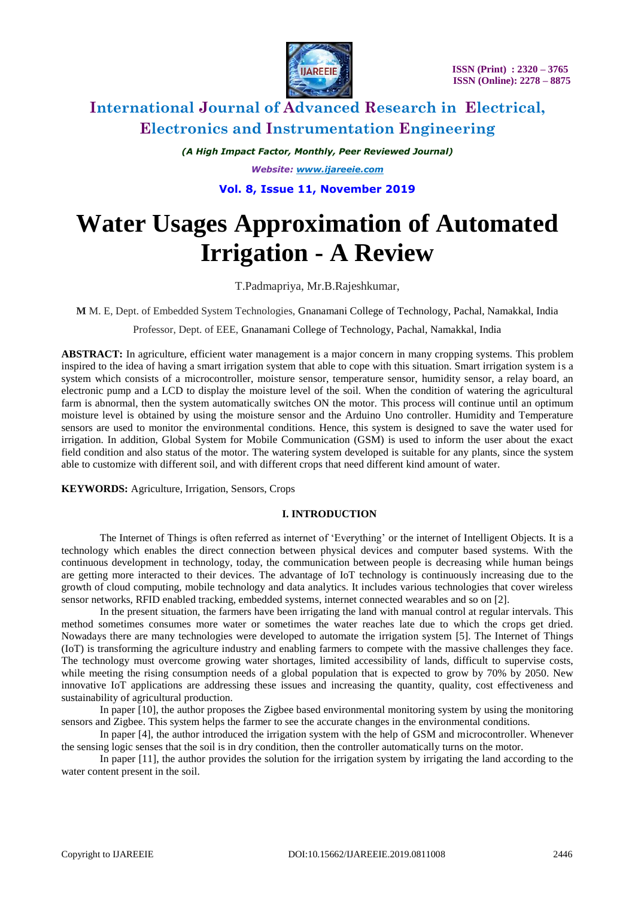

*(A High Impact Factor, Monthly, Peer Reviewed Journal) Website: [www.ijareeie.com](http://www.ijareeie.com/)* **Vol. 8, Issue 11, November 2019**

# **Water Usages Approximation of Automated Irrigation - A Review**

T.Padmapriya, Mr.B.Rajeshkumar,

**M** M. E, Dept. of Embedded System Technologies, Gnanamani College of Technology, Pachal, Namakkal, India

Professor, Dept. of EEE, Gnanamani College of Technology, Pachal, Namakkal, India

**ABSTRACT:** In agriculture, efficient water management is a major concern in many cropping systems. This problem inspired to the idea of having a smart irrigation system that able to cope with this situation. Smart irrigation system is a system which consists of a microcontroller, moisture sensor, temperature sensor, humidity sensor, a relay board, an electronic pump and a LCD to display the moisture level of the soil. When the condition of watering the agricultural farm is abnormal, then the system automatically switches ON the motor. This process will continue until an optimum moisture level is obtained by using the moisture sensor and the Arduino Uno controller. Humidity and Temperature sensors are used to monitor the environmental conditions. Hence, this system is designed to save the water used for irrigation. In addition, Global System for Mobile Communication (GSM) is used to inform the user about the exact field condition and also status of the motor. The watering system developed is suitable for any plants, since the system able to customize with different soil, and with different crops that need different kind amount of water.

**KEYWORDS:** Agriculture, Irrigation, Sensors, Crops

### **I. INTRODUCTION**

The Internet of Things is often referred as internet of 'Everything' or the internet of Intelligent Objects. It is a technology which enables the direct connection between physical devices and computer based systems. With the continuous development in technology, today, the communication between people is decreasing while human beings are getting more interacted to their devices. The advantage of IoT technology is continuously increasing due to the growth of cloud computing, mobile technology and data analytics. It includes various technologies that cover wireless sensor networks, RFID enabled tracking, embedded systems, internet connected wearables and so on [2].

In the present situation, the farmers have been irrigating the land with manual control at regular intervals. This method sometimes consumes more water or sometimes the water reaches late due to which the crops get dried. Nowadays there are many technologies were developed to automate the irrigation system [5]. The Internet of Things (IoT) is transforming the agriculture industry and enabling farmers to compete with the massive challenges they face. The technology must overcome growing water shortages, limited accessibility of lands, difficult to supervise costs, while meeting the rising consumption needs of a global population that is expected to grow by 70% by 2050. New innovative IoT applications are addressing these issues and increasing the quantity, quality, cost effectiveness and sustainability of agricultural production.

In paper [10], the author proposes the Zigbee based environmental monitoring system by using the monitoring sensors and Zigbee. This system helps the farmer to see the accurate changes in the environmental conditions.

In paper [4], the author introduced the irrigation system with the help of GSM and microcontroller. Whenever the sensing logic senses that the soil is in dry condition, then the controller automatically turns on the motor.

In paper [11], the author provides the solution for the irrigation system by irrigating the land according to the water content present in the soil.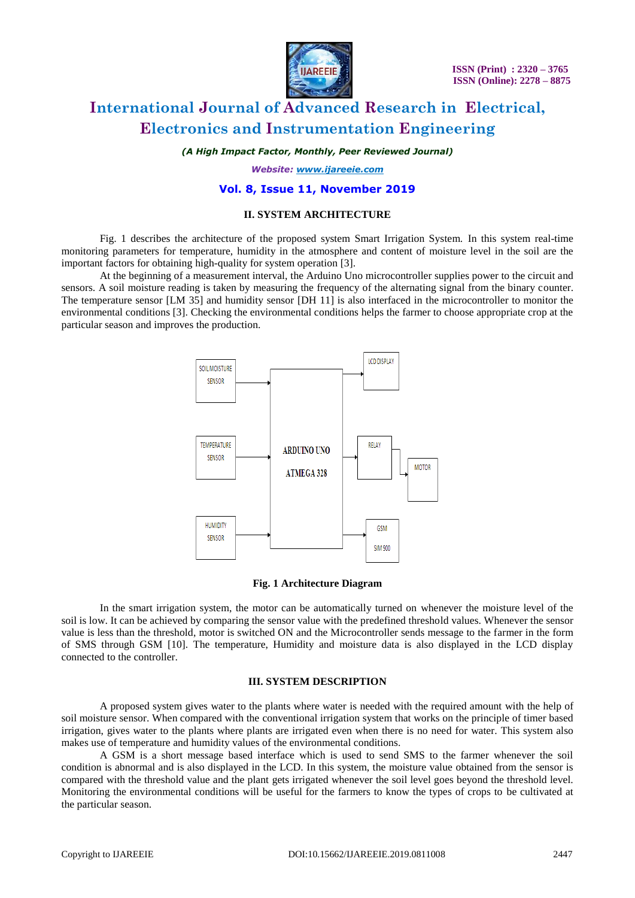

*(A High Impact Factor, Monthly, Peer Reviewed Journal)*

*Website: [www.ijareeie.com](http://www.ijareeie.com/)*

### **Vol. 8, Issue 11, November 2019**

### **II. SYSTEM ARCHITECTURE**

Fig. 1 describes the architecture of the proposed system Smart Irrigation System. In this system real-time monitoring parameters for temperature, humidity in the atmosphere and content of moisture level in the soil are the important factors for obtaining high-quality for system operation [3].

At the beginning of a measurement interval, the Arduino Uno microcontroller supplies power to the circuit and sensors. A soil moisture reading is taken by measuring the frequency of the alternating signal from the binary counter. The temperature sensor [LM 35] and humidity sensor [DH 11] is also interfaced in the microcontroller to monitor the environmental conditions [3]. Checking the environmental conditions helps the farmer to choose appropriate crop at the particular season and improves the production.



#### **Fig. 1 Architecture Diagram**

In the smart irrigation system, the motor can be automatically turned on whenever the moisture level of the soil is low. It can be achieved by comparing the sensor value with the predefined threshold values. Whenever the sensor value is less than the threshold, motor is switched ON and the Microcontroller sends message to the farmer in the form of SMS through GSM [10]. The temperature, Humidity and moisture data is also displayed in the LCD display connected to the controller.

### **III. SYSTEM DESCRIPTION**

A proposed system gives water to the plants where water is needed with the required amount with the help of soil moisture sensor. When compared with the conventional irrigation system that works on the principle of timer based irrigation, gives water to the plants where plants are irrigated even when there is no need for water. This system also makes use of temperature and humidity values of the environmental conditions.

A GSM is a short message based interface which is used to send SMS to the farmer whenever the soil condition is abnormal and is also displayed in the LCD. In this system, the moisture value obtained from the sensor is compared with the threshold value and the plant gets irrigated whenever the soil level goes beyond the threshold level. Monitoring the environmental conditions will be useful for the farmers to know the types of crops to be cultivated at the particular season.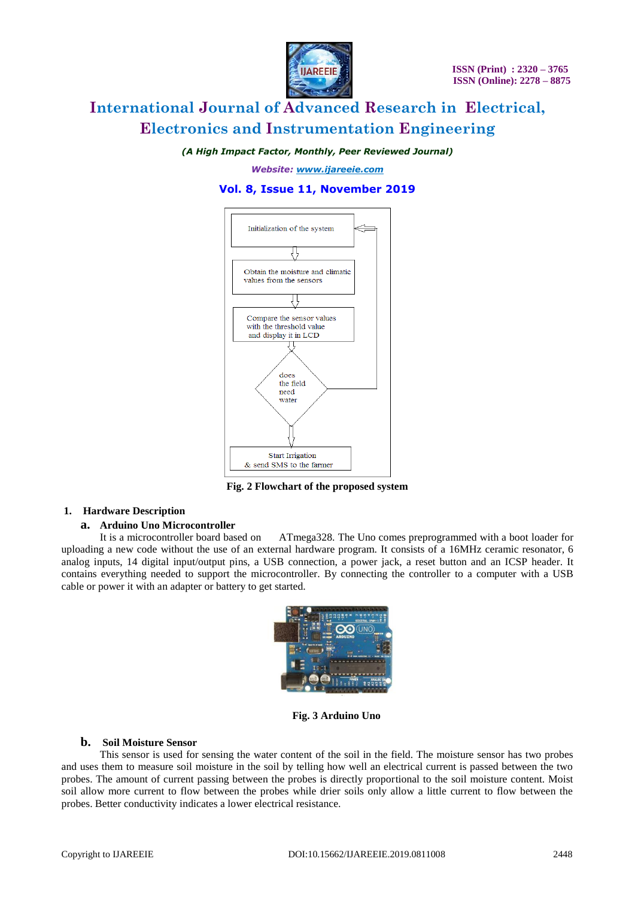

*(A High Impact Factor, Monthly, Peer Reviewed Journal)*

*Website: [www.ijareeie.com](http://www.ijareeie.com/)*

### **Vol. 8, Issue 11, November 2019**



**Fig. 2 Flowchart of the proposed system**

### **1. Hardware Description**

## **a. Arduino Uno Microcontroller**

ATmega328. The Uno comes preprogrammed with a boot loader for uploading a new code without the use of an external hardware program. It consists of a 16MHz ceramic resonator, 6 analog inputs, 14 digital input/output pins, a USB connection, a power jack, a reset button and an ICSP header. It contains everything needed to support the microcontroller. By connecting the controller to a computer with a USB cable or power it with an adapter or battery to get started.



**Fig. 3 Arduino Uno**

### **b. Soil Moisture Sensor**

This sensor is used for sensing the water content of the soil in the field. The moisture sensor has two probes and uses them to measure soil moisture in the soil by telling how well an electrical current is passed between the two probes. The amount of current passing between the probes is directly proportional to the soil moisture content. Moist soil allow more current to flow between the probes while drier soils only allow a little current to flow between the probes. Better conductivity indicates a lower electrical resistance.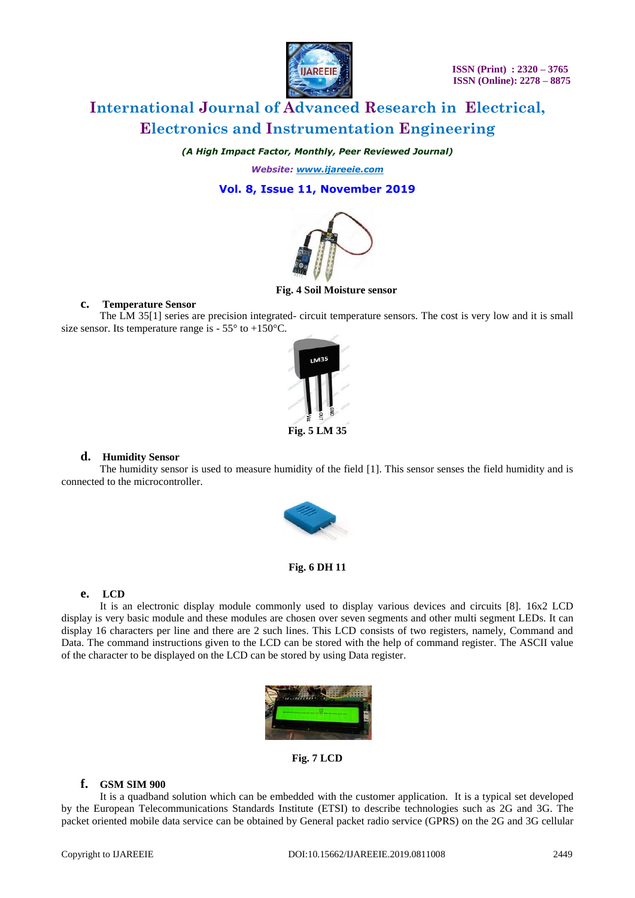

*(A High Impact Factor, Monthly, Peer Reviewed Journal)*

*Website: [www.ijareeie.com](http://www.ijareeie.com/)*

### **Vol. 8, Issue 11, November 2019**



#### **Fig. 4 Soil Moisture sensor**

### **c. Temperature Sensor**

The LM 35[1] series are precision integrated- circuit temperature sensors. The cost is very low and it is small size sensor. Its temperature range is  $-55^{\circ}$  to  $+150^{\circ}$ C.



### **d. Humidity Sensor**

The humidity sensor is used to measure humidity of the field [1]. This sensor senses the field humidity and is connected to the microcontroller.



**Fig. 6 DH 11**

### **e. LCD**

It is an electronic display module commonly used to display various devices and circuits [8]. 16x2 LCD display is very basic module and these modules are chosen over [seven segments](http://www.engineersgarage.com/content/seven-segment-display) and other multi segment [LEDs](http://www.engineersgarage.com/content/led). It can display 16 characters per line and there are 2 such lines. This LCD consists of two registers, namely, Command and Data. The command instructions given to the LCD can be stored with the help of command register. The ASCII value of the character to be displayed on the LCD can be stored by using Data register.



**Fig. 7 LCD**

### **f. GSM SIM 900**

It is a quadband solution which can be embedded with the customer application. It is a typical set developed by the European Telecommunications Standards Institute (ETSI) to describe technologies such as 2G and 3G. The packet oriented mobile data service can be obtained by General packet radio service (GPRS) on the 2G and 3G cellular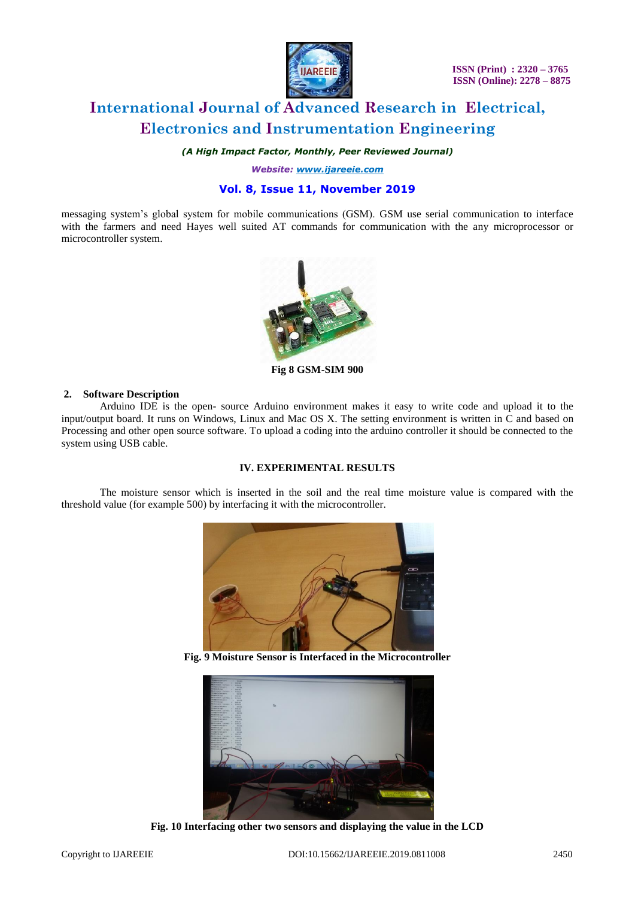

*(A High Impact Factor, Monthly, Peer Reviewed Journal)*

*Website: [www.ijareeie.com](http://www.ijareeie.com/)*

### **Vol. 8, Issue 11, November 2019**

messaging system's global system for mobile communications (GSM). GSM use serial communication to interface with the farmers and need Hayes well suited AT commands for communication with the any microprocessor or microcontroller system.



**Fig 8 GSM-SIM 900**

#### **2. Software Description**

Arduino IDE is the open- source Arduino environment makes it easy to write code and upload it to the input/output board. It runs on Windows, Linux and Mac OS X. The setting environment is written in C and based on Processing and other open source software. To upload a coding into the arduino controller it should be connected to the system using USB cable.

### **IV. EXPERIMENTAL RESULTS**

The moisture sensor which is inserted in the soil and the real time moisture value is compared with the threshold value (for example 500) by interfacing it with the microcontroller.



**Fig. 9 Moisture Sensor is Interfaced in the Microcontroller**



**Fig. 10 Interfacing other two sensors and displaying the value in the LCD**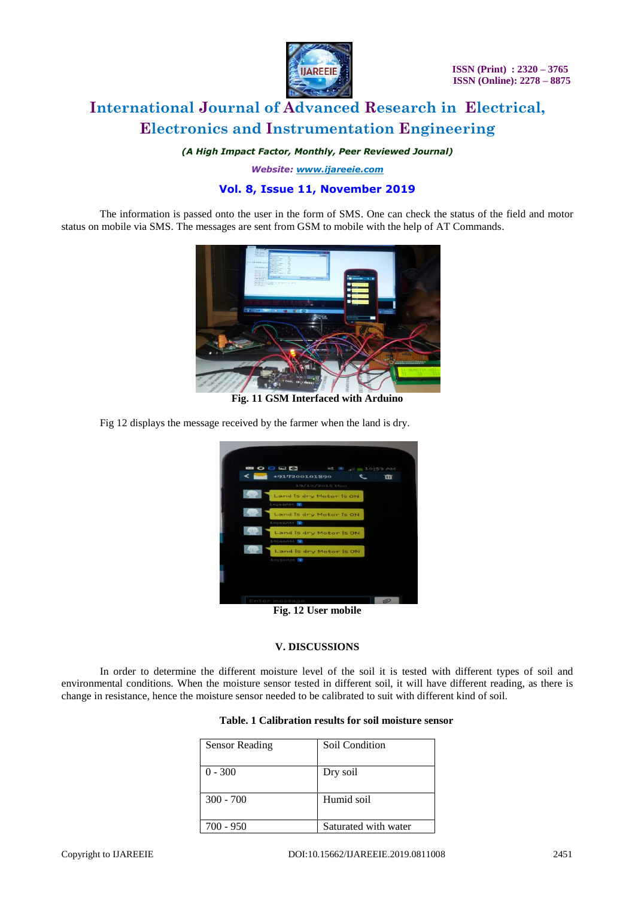

 **ISSN (Print) : 2320 – 3765 ISSN (Online): 2278 – 8875**

### **International Journal of Advanced Research in Electrical, Electronics and Instrumentation Engineering**

*(A High Impact Factor, Monthly, Peer Reviewed Journal)*

*Website: [www.ijareeie.com](http://www.ijareeie.com/)*

### **Vol. 8, Issue 11, November 2019**

The information is passed onto the user in the form of SMS. One can check the status of the field and motor status on mobile via SMS. The messages are sent from GSM to mobile with the help of AT Commands.



**Fig. 11 GSM Interfaced with Arduino**

Fig 12 displays the message received by the farmer when the land is dry.



**Fig. 12 User mobile**

### **V. DISCUSSIONS**

In order to determine the different moisture level of the soil it is tested with different types of soil and environmental conditions. When the moisture sensor tested in different soil, it will have different reading, as there is change in resistance, hence the moisture sensor needed to be calibrated to suit with different kind of soil.

| <b>Sensor Reading</b> | Soil Condition       |
|-----------------------|----------------------|
| $0 - 300$             | Dry soil             |
| $300 - 700$           | Humid soil           |
| 700 - 950             | Saturated with water |

### **Table. 1 Calibration results for soil moisture sensor**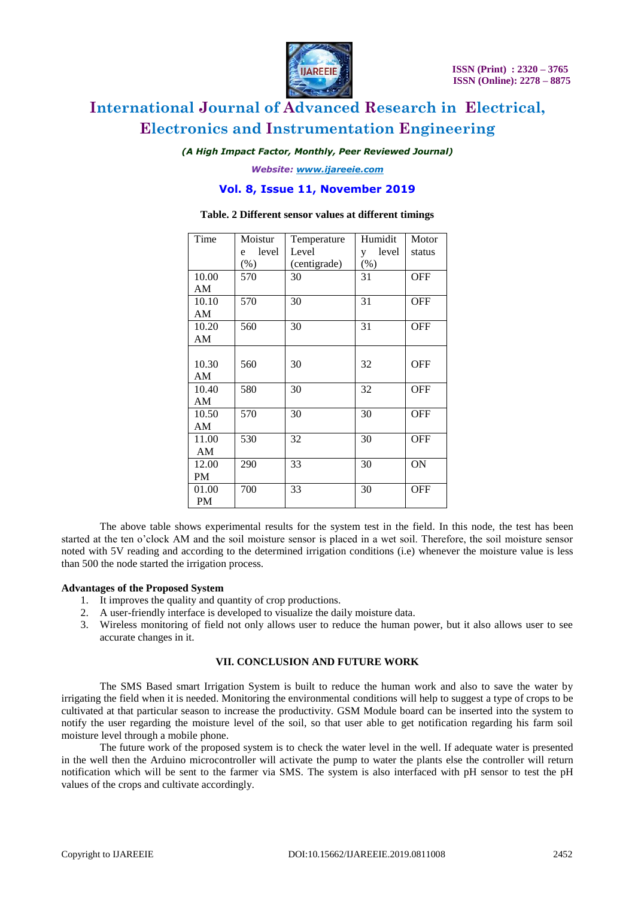

*(A High Impact Factor, Monthly, Peer Reviewed Journal)*

*Website: [www.ijareeie.com](http://www.ijareeie.com/)*

### **Vol. 8, Issue 11, November 2019**

| Time      | Moistur    | Temperature  | Humidit    | Motor      |
|-----------|------------|--------------|------------|------------|
|           | level<br>e | Level        | level<br>V | status     |
|           | $(\%)$     | (centigrade) | $(\%)$     |            |
| 10.00     | 570        | 30           | 31         | <b>OFF</b> |
| AM        |            |              |            |            |
| 10.10     | 570        | 30           | 31         | <b>OFF</b> |
| AM        |            |              |            |            |
| 10.20     | 560        | 30           | 31         | <b>OFF</b> |
| AM        |            |              |            |            |
|           |            |              |            |            |
| 10.30     | 560        | 30           | 32         | <b>OFF</b> |
| AM        |            |              |            |            |
| 10.40     | 580        | 30           | 32         | <b>OFF</b> |
| AM        |            |              |            |            |
| 10.50     | 570        | 30           | 30         | <b>OFF</b> |
| AM        |            |              |            |            |
| 11.00     | 530        | 32           | 30         | <b>OFF</b> |
| AM        |            |              |            |            |
| 12.00     | 290        | 33           | 30         | ON         |
| PM        |            |              |            |            |
| 01.00     | 700        | 33           | 30         | <b>OFF</b> |
| <b>PM</b> |            |              |            |            |

### **Table. 2 Different sensor values at different timings**

The above table shows experimental results for the system test in the field. In this node, the test has been started at the ten o'clock AM and the soil moisture sensor is placed in a wet soil. Therefore, the soil moisture sensor noted with 5V reading and according to the determined irrigation conditions (i.e) whenever the moisture value is less than 500 the node started the irrigation process.

#### **Advantages of the Proposed System**

- 1. It improves the quality and quantity of crop productions.
- 2. A user-friendly interface is developed to visualize the daily moisture data.
- 3. Wireless monitoring of field not only allows user to reduce the human power, but it also allows user to see accurate changes in it.

### **VII. CONCLUSION AND FUTURE WORK**

The SMS Based smart Irrigation System is built to reduce the human work and also to save the water by irrigating the field when it is needed. Monitoring the environmental conditions will help to suggest a type of crops to be cultivated at that particular season to increase the productivity. GSM Module board can be inserted into the system to notify the user regarding the moisture level of the soil, so that user able to get notification regarding his farm soil moisture level through a mobile phone.

The future work of the proposed system is to check the water level in the well. If adequate water is presented in the well then the Arduino microcontroller will activate the pump to water the plants else the controller will return notification which will be sent to the farmer via SMS. The system is also interfaced with pH sensor to test the pH values of the crops and cultivate accordingly.